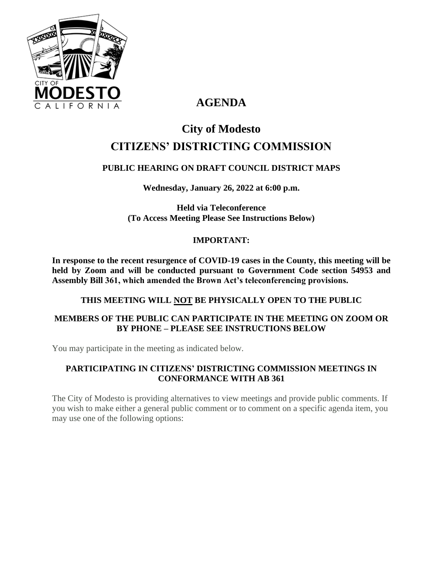

# **AGENDA**

# **City of Modesto CITIZENS' DISTRICTING COMMISSION**

# **PUBLIC HEARING ON DRAFT COUNCIL DISTRICT MAPS**

**Wednesday, January 26, 2022 at 6:00 p.m.**

**Held via Teleconference (To Access Meeting Please See Instructions Below)**

# **IMPORTANT:**

**In response to the recent resurgence of COVID-19 cases in the County, this meeting will be held by Zoom and will be conducted pursuant to Government Code section 54953 and Assembly Bill 361, which amended the Brown Act's teleconferencing provisions.**

#### **THIS MEETING WILL NOT BE PHYSICALLY OPEN TO THE PUBLIC**

# **MEMBERS OF THE PUBLIC CAN PARTICIPATE IN THE MEETING ON ZOOM OR BY PHONE – PLEASE SEE INSTRUCTIONS BELOW**

You may participate in the meeting as indicated below.

# **PARTICIPATING IN CITIZENS' DISTRICTING COMMISSION MEETINGS IN CONFORMANCE WITH AB 361**

The City of Modesto is providing alternatives to view meetings and provide public comments. If you wish to make either a general public comment or to comment on a specific agenda item, you may use one of the following options: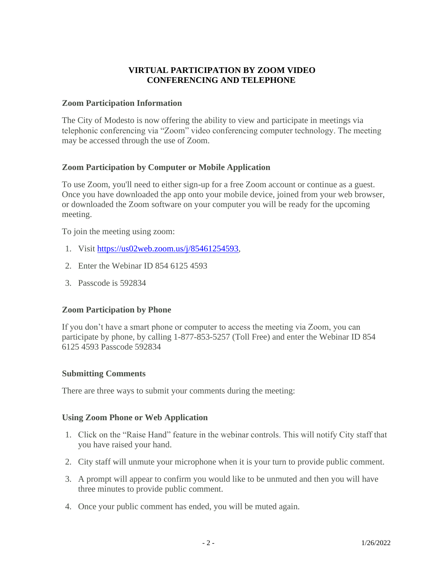#### **VIRTUAL PARTICIPATION BY ZOOM VIDEO CONFERENCING AND TELEPHONE**

#### **Zoom Participation Information**

The City of Modesto is now offering the ability to view and participate in meetings via telephonic conferencing via "Zoom" video conferencing computer technology. The meeting may be accessed through the use of Zoom.

#### **Zoom Participation by Computer or Mobile Application**

To use Zoom, you'll need to either sign-up for a free Zoom account or continue as a guest. Once you have downloaded the app onto your mobile device, joined from your web browser, or downloaded the Zoom software on your computer you will be ready for the upcoming meeting.

To join the meeting using zoom:

- 1. Visit [https://us02web.zoom.us/j/85461254593,](https://us02web.zoom.us/j/85461254593)
- 2. Enter the Webinar ID 854 6125 4593
- 3. Passcode is 592834

#### **Zoom Participation by Phone**

If you don't have a smart phone or computer to access the meeting via Zoom, you can participate by phone, by calling 1-877-853-5257 (Toll Free) and enter the Webinar ID 854 6125 4593 Passcode 592834

#### **Submitting Comments**

There are three ways to submit your comments during the meeting:

#### **Using Zoom Phone or Web Application**

- 1. Click on the "Raise Hand" feature in the webinar controls. This will notify City staff that you have raised your hand.
- 2. City staff will unmute your microphone when it is your turn to provide public comment.
- 3. A prompt will appear to confirm you would like to be unmuted and then you will have three minutes to provide public comment.
- 4. Once your public comment has ended, you will be muted again.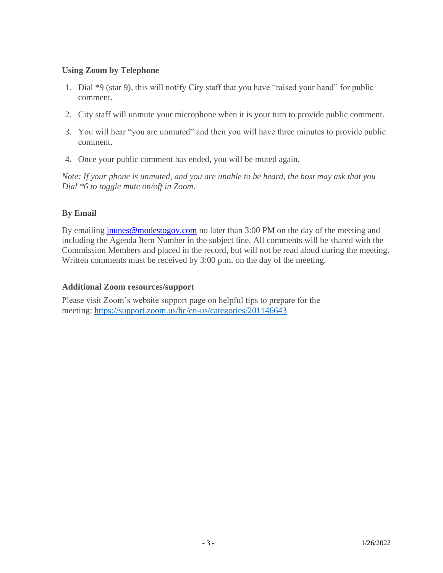#### **Using Zoom by Telephone**

- 1. Dial \*9 (star 9), this will notify City staff that you have "raised your hand" for public comment.
- 2. City staff will unmute your microphone when it is your turn to provide public comment.
- 3. You will hear "you are unmuted" and then you will have three minutes to provide public comment.
- 4. Once your public comment has ended, you will be muted again.

*Note: If your phone is unmuted, and you are unable to be heard, the host may ask that you Dial \*6 to toggle mute on/off in Zoom.*

# **By Email**

By emailing [jnunes@modestogov.com](mailto:jnunes@modestogov.com) no later than 3:00 PM on the day of the meeting and including the Agenda Item Number in the subject line. All comments will be shared with the Commission Members and placed in the record, but will not be read aloud during the meeting. Written comments must be received by 3:00 p.m. on the day of the meeting.

#### **Additional Zoom resources/support**

Please visit Zoom's website support page on helpful tips to prepare for the meeting: <https://support.zoom.us/hc/en-us/categories/201146643>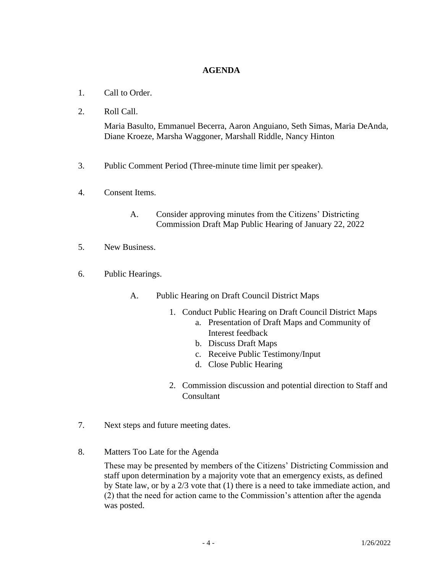#### **AGENDA**

- 1. Call to Order.
- 2. Roll Call.

Maria Basulto, Emmanuel Becerra, Aaron Anguiano, Seth Simas, Maria DeAnda, Diane Kroeze, Marsha Waggoner, Marshall Riddle, Nancy Hinton

- 3. Public Comment Period (Three-minute time limit per speaker).
- 4. Consent Items.
	- A. Consider approving minutes from the Citizens' Districting Commission Draft Map Public Hearing of January 22, 2022
- 5. New Business.
- 6. Public Hearings.
	- A. Public Hearing on Draft Council District Maps
		- 1. Conduct Public Hearing on Draft Council District Maps
			- a. Presentation of Draft Maps and Community of Interest feedback
			- b. Discuss Draft Maps
			- c. Receive Public Testimony/Input
			- d. Close Public Hearing
		- 2. Commission discussion and potential direction to Staff and **Consultant**
- 7. Next steps and future meeting dates.
- 8. Matters Too Late for the Agenda

These may be presented by members of the Citizens' Districting Commission and staff upon determination by a majority vote that an emergency exists, as defined by State law, or by a 2/3 vote that (1) there is a need to take immediate action, and (2) that the need for action came to the Commission's attention after the agenda was posted.